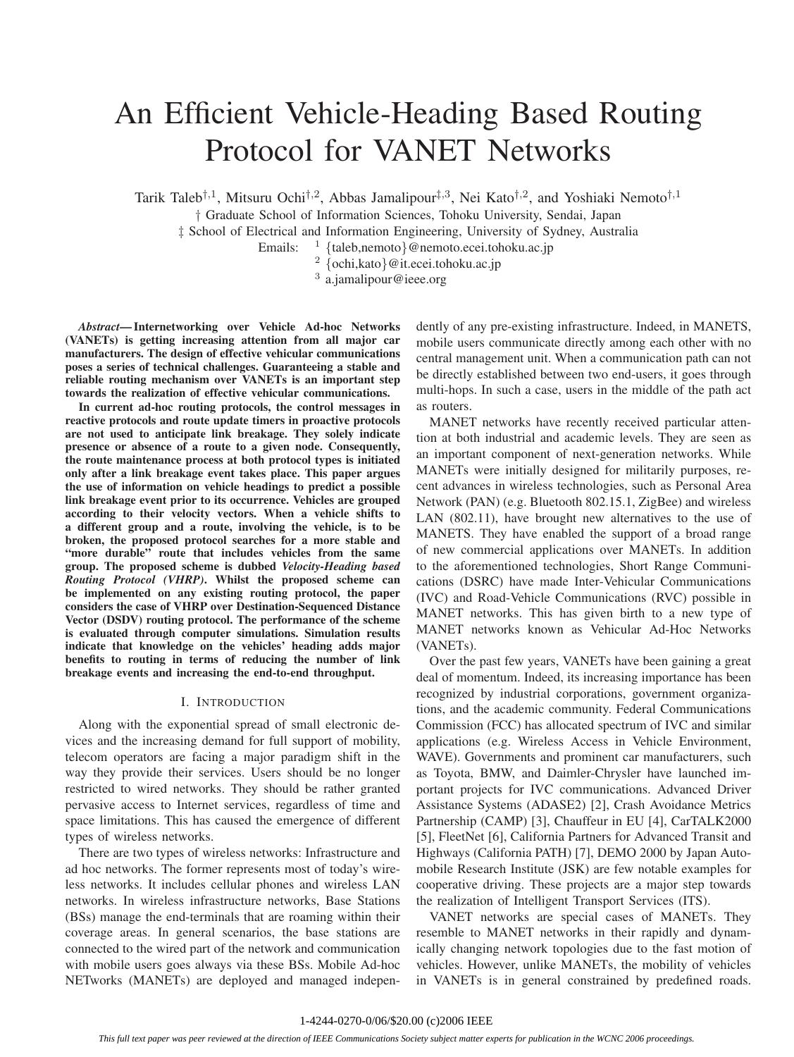# An Efficient Vehicle-Heading Based Routing Protocol for VANET Networks

Tarik Taleb*†,*1, Mitsuru Ochi*†,*2, Abbas Jamalipour*‡,*3, Nei Kato*†,*2, and Yoshiaki Nemoto*†,*<sup>1</sup>

*†* Graduate School of Information Sciences, Tohoku University, Sendai, Japan

*‡* School of Electrical and Information Engineering, University of Sydney, Australia

<sup>1</sup> {taleb,nemoto}@nemoto.ecei.tohoku.ac.jp

<sup>2</sup> *{*ochi,kato*}*@it.ecei.tohoku.ac.jp

<sup>3</sup> a.jamalipour@ieee.org

*Abstract***— Internetworking over Vehicle Ad-hoc Networks (VANETs) is getting increasing attention from all major car manufacturers. The design of effective vehicular communications poses a series of technical challenges. Guaranteeing a stable and reliable routing mechanism over VANETs is an important step towards the realization of effective vehicular communications.**

**In current ad-hoc routing protocols, the control messages in reactive protocols and route update timers in proactive protocols are not used to anticipate link breakage. They solely indicate presence or absence of a route to a given node. Consequently, the route maintenance process at both protocol types is initiated only after a link breakage event takes place. This paper argues the use of information on vehicle headings to predict a possible link breakage event prior to its occurrence. Vehicles are grouped according to their velocity vectors. When a vehicle shifts to a different group and a route, involving the vehicle, is to be broken, the proposed protocol searches for a more stable and "more durable" route that includes vehicles from the same group. The proposed scheme is dubbed** *Velocity-Heading based Routing Protocol (VHRP)***. Whilst the proposed scheme can be implemented on any existing routing protocol, the paper considers the case of VHRP over Destination-Sequenced Distance Vector (DSDV) routing protocol. The performance of the scheme is evaluated through computer simulations. Simulation results indicate that knowledge on the vehicles' heading adds major benefits to routing in terms of reducing the number of link breakage events and increasing the end-to-end throughput.**

#### I. INTRODUCTION

Along with the exponential spread of small electronic devices and the increasing demand for full support of mobility, telecom operators are facing a major paradigm shift in the way they provide their services. Users should be no longer restricted to wired networks. They should be rather granted pervasive access to Internet services, regardless of time and space limitations. This has caused the emergence of different types of wireless networks.

There are two types of wireless networks: Infrastructure and ad hoc networks. The former represents most of today's wireless networks. It includes cellular phones and wireless LAN networks. In wireless infrastructure networks, Base Stations (BSs) manage the end-terminals that are roaming within their coverage areas. In general scenarios, the base stations are connected to the wired part of the network and communication with mobile users goes always via these BSs. Mobile Ad-hoc NETworks (MANETs) are deployed and managed independently of any pre-existing infrastructure. Indeed, in MANETS, mobile users communicate directly among each other with no central management unit. When a communication path can not be directly established between two end-users, it goes through multi-hops. In such a case, users in the middle of the path act as routers.

MANET networks have recently received particular attention at both industrial and academic levels. They are seen as an important component of next-generation networks. While MANETs were initially designed for militarily purposes, recent advances in wireless technologies, such as Personal Area Network (PAN) (e.g. Bluetooth 802.15.1, ZigBee) and wireless LAN (802.11), have brought new alternatives to the use of MANETS. They have enabled the support of a broad range of new commercial applications over MANETs. In addition to the aforementioned technologies, Short Range Communications (DSRC) have made Inter-Vehicular Communications (IVC) and Road-Vehicle Communications (RVC) possible in MANET networks. This has given birth to a new type of MANET networks known as Vehicular Ad-Hoc Networks (VANETs).

Over the past few years, VANETs have been gaining a great deal of momentum. Indeed, its increasing importance has been recognized by industrial corporations, government organizations, and the academic community. Federal Communications Commission (FCC) has allocated spectrum of IVC and similar applications (e.g. Wireless Access in Vehicle Environment, WAVE). Governments and prominent car manufacturers, such as Toyota, BMW, and Daimler-Chrysler have launched important projects for IVC communications. Advanced Driver Assistance Systems (ADASE2) [2], Crash Avoidance Metrics Partnership (CAMP) [3], Chauffeur in EU [4], CarTALK2000 [5], FleetNet [6], California Partners for Advanced Transit and Highways (California PATH) [7], DEMO 2000 by Japan Automobile Research Institute (JSK) are few notable examples for cooperative driving. These projects are a major step towards the realization of Intelligent Transport Services (ITS).

VANET networks are special cases of MANETs. They resemble to MANET networks in their rapidly and dynamically changing network topologies due to the fast motion of vehicles. However, unlike MANETs, the mobility of vehicles in VANETs is in general constrained by predefined roads.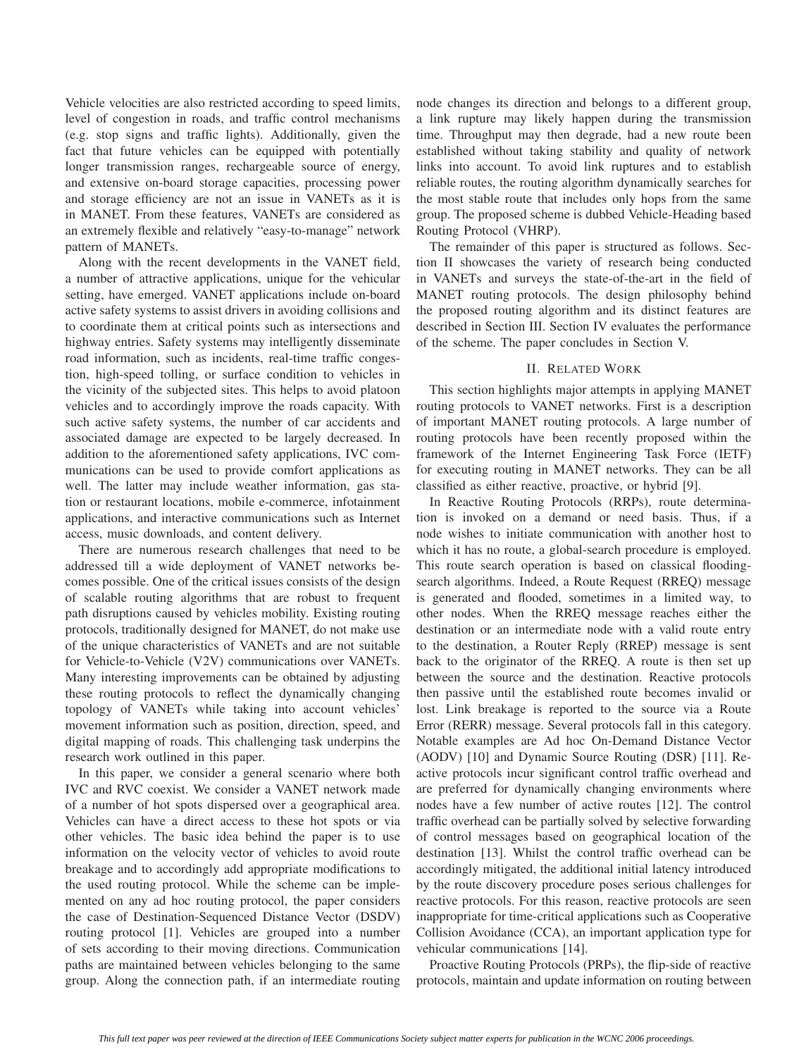Vehicle velocities are also restricted according to speed limits, level of congestion in roads, and traffic control mechanisms (e.g. stop signs and traffic lights). Additionally, given the fact that future vehicles can be equipped with potentially longer transmission ranges, rechargeable source of energy, and extensive on-board storage capacities, processing power and storage efficiency are not an issue in VANETs as it is in MANET. From these features, VANETs are considered as an extremely flexible and relatively "easy-to-manage" network pattern of MANETs.

Along with the recent developments in the VANET field, a number of attractive applications, unique for the vehicular setting, have emerged. VANET applications include on-board active safety systems to assist drivers in avoiding collisions and to coordinate them at critical points such as intersections and highway entries. Safety systems may intelligently disseminate road information, such as incidents, real-time traffic congestion, high-speed tolling, or surface condition to vehicles in the vicinity of the subjected sites. This helps to avoid platoon vehicles and to accordingly improve the roads capacity. With such active safety systems, the number of car accidents and associated damage are expected to be largely decreased. In addition to the aforementioned safety applications, IVC communications can be used to provide comfort applications as well. The latter may include weather information, gas station or restaurant locations, mobile e-commerce, infotainment applications, and interactive communications such as Internet access, music downloads, and content delivery.

There are numerous research challenges that need to be addressed till a wide deployment of VANET networks becomes possible. One of the critical issues consists of the design of scalable routing algorithms that are robust to frequent path disruptions caused by vehicles mobility. Existing routing protocols, traditionally designed for MANET, do not make use of the unique characteristics of VANETs and are not suitable for Vehicle-to-Vehicle (V2V) communications over VANETs. Many interesting improvements can be obtained by adjusting these routing protocols to reflect the dynamically changing topology of VANETs while taking into account vehicles' movement information such as position, direction, speed, and digital mapping of roads. This challenging task underpins the research work outlined in this paper.

In this paper, we consider a general scenario where both IVC and RVC coexist. We consider a VANET network made of a number of hot spots dispersed over a geographical area. Vehicles can have a direct access to these hot spots or via other vehicles. The basic idea behind the paper is to use information on the velocity vector of vehicles to avoid route breakage and to accordingly add appropriate modifications to the used routing protocol. While the scheme can be implemented on any ad hoc routing protocol, the paper considers the case of Destination-Sequenced Distance Vector (DSDV) routing protocol [1]. Vehicles are grouped into a number of sets according to their moving directions. Communication paths are maintained between vehicles belonging to the same group. Along the connection path, if an intermediate routing node changes its direction and belongs to a different group, a link rupture may likely happen during the transmission time. Throughput may then degrade, had a new route been established without taking stability and quality of network links into account. To avoid link ruptures and to establish reliable routes, the routing algorithm dynamically searches for the most stable route that includes only hops from the same group. The proposed scheme is dubbed Vehicle-Heading based Routing Protocol (VHRP).

The remainder of this paper is structured as follows. Section II showcases the variety of research being conducted in VANETs and surveys the state-of-the-art in the field of MANET routing protocols. The design philosophy behind the proposed routing algorithm and its distinct features are described in Section III. Section IV evaluates the performance of the scheme. The paper concludes in Section V.

## II. RELATED WORK

This section highlights major attempts in applying MANET routing protocols to VANET networks. First is a description of important MANET routing protocols. A large number of routing protocols have been recently proposed within the framework of the Internet Engineering Task Force (IETF) for executing routing in MANET networks. They can be all classified as either reactive, proactive, or hybrid [9].

In Reactive Routing Protocols (RRPs), route determination is invoked on a demand or need basis. Thus, if a node wishes to initiate communication with another host to which it has no route, a global-search procedure is employed. This route search operation is based on classical floodingsearch algorithms. Indeed, a Route Request (RREQ) message is generated and flooded, sometimes in a limited way, to other nodes. When the RREQ message reaches either the destination or an intermediate node with a valid route entry to the destination, a Router Reply (RREP) message is sent back to the originator of the RREQ. A route is then set up between the source and the destination. Reactive protocols then passive until the established route becomes invalid or lost. Link breakage is reported to the source via a Route Error (RERR) message. Several protocols fall in this category. Notable examples are Ad hoc On-Demand Distance Vector (AODV) [10] and Dynamic Source Routing (DSR) [11]. Reactive protocols incur significant control traffic overhead and are preferred for dynamically changing environments where nodes have a few number of active routes [12]. The control traffic overhead can be partially solved by selective forwarding of control messages based on geographical location of the destination [13]. Whilst the control traffic overhead can be accordingly mitigated, the additional initial latency introduced by the route discovery procedure poses serious challenges for reactive protocols. For this reason, reactive protocols are seen inappropriate for time-critical applications such as Cooperative Collision Avoidance (CCA), an important application type for vehicular communications [14].

Proactive Routing Protocols (PRPs), the flip-side of reactive protocols, maintain and update information on routing between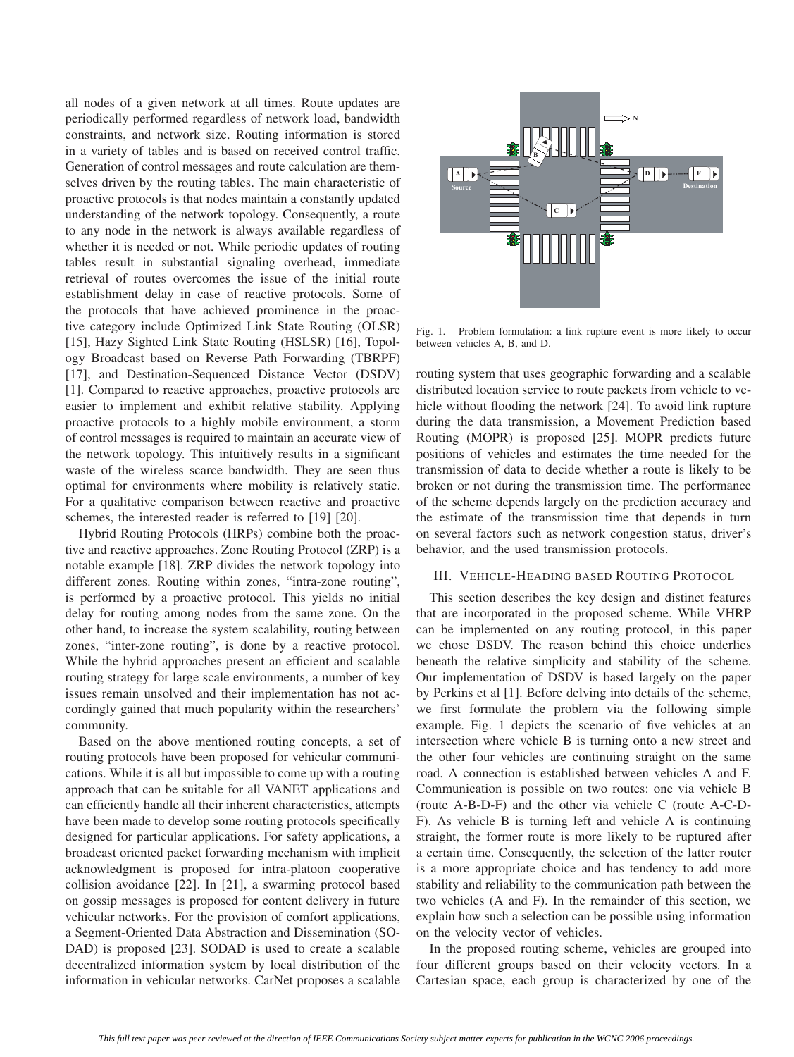all nodes of a given network at all times. Route updates are periodically performed regardless of network load, bandwidth constraints, and network size. Routing information is stored in a variety of tables and is based on received control traffic. Generation of control messages and route calculation are themselves driven by the routing tables. The main characteristic of proactive protocols is that nodes maintain a constantly updated understanding of the network topology. Consequently, a route to any node in the network is always available regardless of whether it is needed or not. While periodic updates of routing tables result in substantial signaling overhead, immediate retrieval of routes overcomes the issue of the initial route establishment delay in case of reactive protocols. Some of the protocols that have achieved prominence in the proactive category include Optimized Link State Routing (OLSR) [15], Hazy Sighted Link State Routing (HSLSR) [16], Topology Broadcast based on Reverse Path Forwarding (TBRPF) [17], and Destination-Sequenced Distance Vector (DSDV) [1]. Compared to reactive approaches, proactive protocols are easier to implement and exhibit relative stability. Applying proactive protocols to a highly mobile environment, a storm of control messages is required to maintain an accurate view of the network topology. This intuitively results in a significant waste of the wireless scarce bandwidth. They are seen thus optimal for environments where mobility is relatively static. For a qualitative comparison between reactive and proactive schemes, the interested reader is referred to [19] [20].

Hybrid Routing Protocols (HRPs) combine both the proactive and reactive approaches. Zone Routing Protocol (ZRP) is a notable example [18]. ZRP divides the network topology into different zones. Routing within zones, "intra-zone routing", is performed by a proactive protocol. This yields no initial delay for routing among nodes from the same zone. On the other hand, to increase the system scalability, routing between zones, "inter-zone routing", is done by a reactive protocol. While the hybrid approaches present an efficient and scalable routing strategy for large scale environments, a number of key issues remain unsolved and their implementation has not accordingly gained that much popularity within the researchers' community.

Based on the above mentioned routing concepts, a set of routing protocols have been proposed for vehicular communications. While it is all but impossible to come up with a routing approach that can be suitable for all VANET applications and can efficiently handle all their inherent characteristics, attempts have been made to develop some routing protocols specifically designed for particular applications. For safety applications, a broadcast oriented packet forwarding mechanism with implicit acknowledgment is proposed for intra-platoon cooperative collision avoidance [22]. In [21], a swarming protocol based on gossip messages is proposed for content delivery in future vehicular networks. For the provision of comfort applications, a Segment-Oriented Data Abstraction and Dissemination (SO-DAD) is proposed [23]. SODAD is used to create a scalable decentralized information system by local distribution of the information in vehicular networks. CarNet proposes a scalable



Fig. 1. Problem formulation: a link rupture event is more likely to occur between vehicles A, B, and D.

routing system that uses geographic forwarding and a scalable distributed location service to route packets from vehicle to vehicle without flooding the network [24]. To avoid link rupture during the data transmission, a Movement Prediction based Routing (MOPR) is proposed [25]. MOPR predicts future positions of vehicles and estimates the time needed for the transmission of data to decide whether a route is likely to be broken or not during the transmission time. The performance of the scheme depends largely on the prediction accuracy and the estimate of the transmission time that depends in turn on several factors such as network congestion status, driver's behavior, and the used transmission protocols.

## III. VEHICLE-HEADING BASED ROUTING PROTOCOL

This section describes the key design and distinct features that are incorporated in the proposed scheme. While VHRP can be implemented on any routing protocol, in this paper we chose DSDV. The reason behind this choice underlies beneath the relative simplicity and stability of the scheme. Our implementation of DSDV is based largely on the paper by Perkins et al [1]. Before delving into details of the scheme, we first formulate the problem via the following simple example. Fig. 1 depicts the scenario of five vehicles at an intersection where vehicle B is turning onto a new street and the other four vehicles are continuing straight on the same road. A connection is established between vehicles A and F. Communication is possible on two routes: one via vehicle B (route A-B-D-F) and the other via vehicle C (route A-C-D-F). As vehicle B is turning left and vehicle A is continuing straight, the former route is more likely to be ruptured after a certain time. Consequently, the selection of the latter router is a more appropriate choice and has tendency to add more stability and reliability to the communication path between the two vehicles (A and F). In the remainder of this section, we explain how such a selection can be possible using information on the velocity vector of vehicles.

In the proposed routing scheme, vehicles are grouped into four different groups based on their velocity vectors. In a Cartesian space, each group is characterized by one of the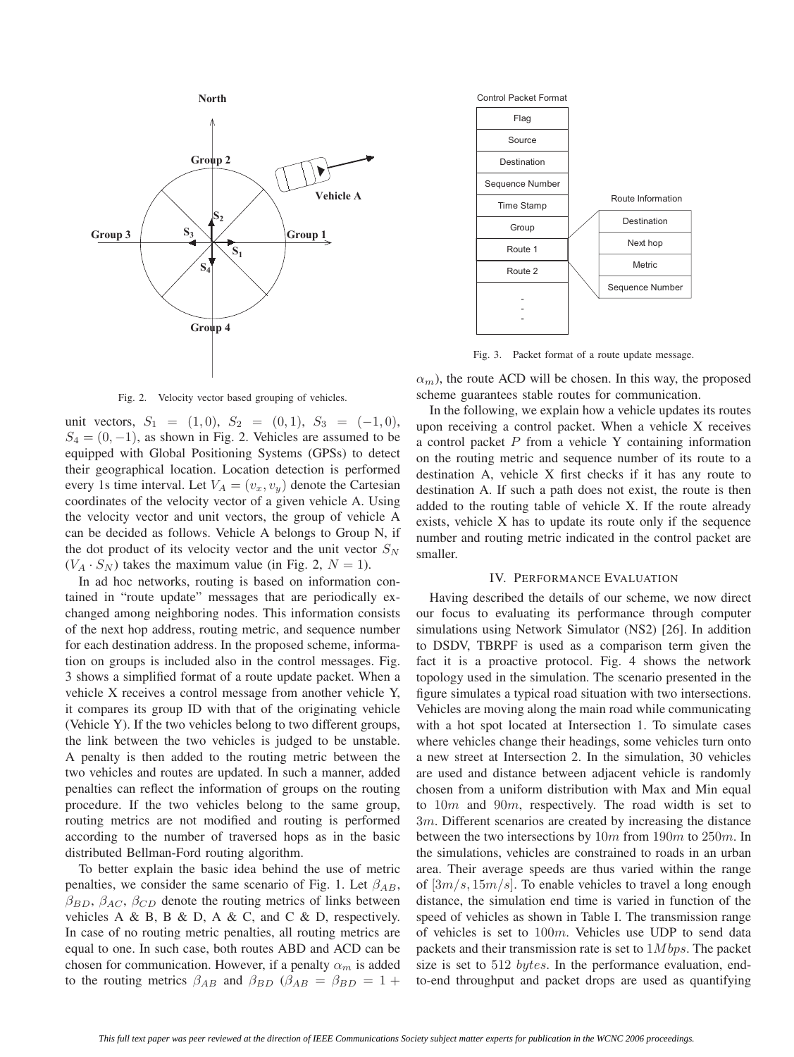

Fig. 2. Velocity vector based grouping of vehicles.

unit vectors,  $S_1 = (1, 0), S_2 = (0, 1), S_3 = (-1, 0),$  $S_4 = (0, -1)$ , as shown in Fig. 2. Vehicles are assumed to be equipped with Global Positioning Systems (GPSs) to detect their geographical location. Location detection is performed every 1s time interval. Let  $V_A = (v_x, v_y)$  denote the Cartesian coordinates of the velocity vector of a given vehicle A. Using the velocity vector and unit vectors, the group of vehicle A can be decided as follows. Vehicle A belongs to Group N, if the dot product of its velocity vector and the unit vector S*<sup>N</sup>*  $(V_A \cdot S_N)$  takes the maximum value (in Fig. 2,  $N = 1$ ).

In ad hoc networks, routing is based on information contained in "route update" messages that are periodically exchanged among neighboring nodes. This information consists of the next hop address, routing metric, and sequence number for each destination address. In the proposed scheme, information on groups is included also in the control messages. Fig. 3 shows a simplified format of a route update packet. When a vehicle X receives a control message from another vehicle Y, it compares its group ID with that of the originating vehicle (Vehicle Y). If the two vehicles belong to two different groups, the link between the two vehicles is judged to be unstable. A penalty is then added to the routing metric between the two vehicles and routes are updated. In such a manner, added penalties can reflect the information of groups on the routing procedure. If the two vehicles belong to the same group, routing metrics are not modified and routing is performed according to the number of traversed hops as in the basic distributed Bellman-Ford routing algorithm.

To better explain the basic idea behind the use of metric penalties, we consider the same scenario of Fig. 1. Let  $\beta_{AB}$ ,  $\beta_{BD}$ ,  $\beta_{AC}$ ,  $\beta_{CD}$  denote the routing metrics of links between vehicles A & B, B & D, A & C, and C & D, respectively. In case of no routing metric penalties, all routing metrics are equal to one. In such case, both routes ABD and ACD can be chosen for communication. However, if a penalty  $\alpha_m$  is added to the routing metrics  $\beta_{AB}$  and  $\beta_{BD}$  ( $\beta_{AB} = \beta_{BD} = 1 + \beta_{BD}$ 



Fig. 3. Packet format of a route update message.

 $\alpha_m$ ), the route ACD will be chosen. In this way, the proposed scheme guarantees stable routes for communication.

In the following, we explain how a vehicle updates its routes upon receiving a control packet. When a vehicle X receives a control packet P from a vehicle Y containing information on the routing metric and sequence number of its route to a destination A, vehicle X first checks if it has any route to destination A. If such a path does not exist, the route is then added to the routing table of vehicle X. If the route already exists, vehicle X has to update its route only if the sequence number and routing metric indicated in the control packet are smaller.

#### IV. PERFORMANCE EVALUATION

Having described the details of our scheme, we now direct our focus to evaluating its performance through computer simulations using Network Simulator (NS2) [26]. In addition to DSDV, TBRPF is used as a comparison term given the fact it is a proactive protocol. Fig. 4 shows the network topology used in the simulation. The scenario presented in the figure simulates a typical road situation with two intersections. Vehicles are moving along the main road while communicating with a hot spot located at Intersection 1. To simulate cases where vehicles change their headings, some vehicles turn onto a new street at Intersection 2. In the simulation, 30 vehicles are used and distance between adjacent vehicle is randomly chosen from a uniform distribution with Max and Min equal to 10m and 90m, respectively. The road width is set to 3m. Different scenarios are created by increasing the distance between the two intersections by 10m from 190m to 250m. In the simulations, vehicles are constrained to roads in an urban area. Their average speeds are thus varied within the range of  $[3m/s, 15m/s]$ . To enable vehicles to travel a long enough distance, the simulation end time is varied in function of the speed of vehicles as shown in Table I. The transmission range of vehicles is set to 100m. Vehicles use UDP to send data packets and their transmission rate is set to  $1Mbps$ . The packet size is set to 512 *bytes*. In the performance evaluation, endto-end throughput and packet drops are used as quantifying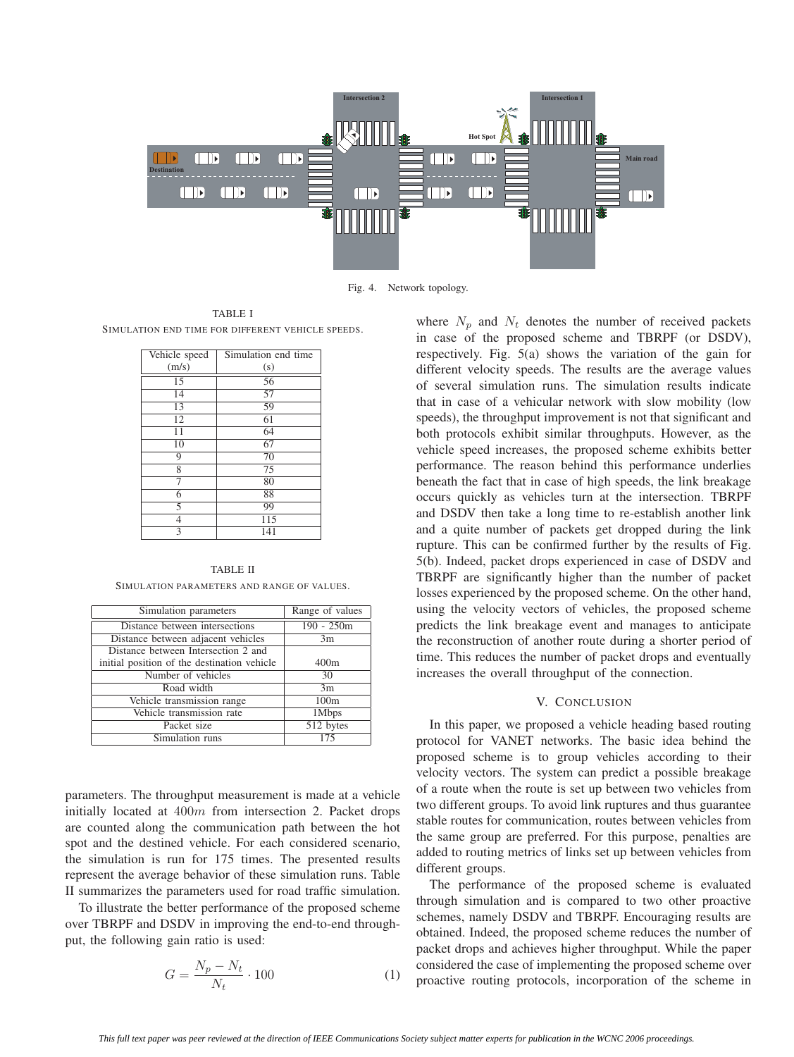

Fig. 4. Network topology.

TABLE I SIMULATION END TIME FOR DIFFERENT VEHICLE SPEEDS.

| Vehicle speed | Simulation end time |
|---------------|---------------------|
| (m/s)         | (s)                 |
| 15            | 56                  |
| 14            | 57                  |
| 13            | 59                  |
| 12            | 61                  |
| 11            | 64                  |
| 10            | 67                  |
| 9             | 70                  |
| 8             | 75                  |
| 7             | 80                  |
| 6             | 88                  |
| 5             | 99                  |
| 4             | 115                 |
| 3             | 141                 |

TABLE II SIMULATION PARAMETERS AND RANGE OF VALUES.

| Simulation parameters                       | Range of values |
|---------------------------------------------|-----------------|
| Distance between intersections              | $190 - 250m$    |
| Distance between adjacent vehicles          | 3m              |
| Distance between Intersection 2 and         |                 |
| initial position of the destination vehicle | 400m            |
| Number of vehicles                          | 30              |
| Road width                                  | 3m              |
| Vehicle transmission range                  | 100m            |
| Vehicle transmission rate                   | 1Mbps           |
| Packet size                                 | 512 bytes       |
| Simulation runs                             | 175             |

parameters. The throughput measurement is made at a vehicle initially located at 400m from intersection 2. Packet drops are counted along the communication path between the hot spot and the destined vehicle. For each considered scenario, the simulation is run for 175 times. The presented results represent the average behavior of these simulation runs. Table II summarizes the parameters used for road traffic simulation.

To illustrate the better performance of the proposed scheme over TBRPF and DSDV in improving the end-to-end throughput, the following gain ratio is used:

$$
G = \frac{N_p - N_t}{N_t} \cdot 100\tag{1}
$$

where  $N_p$  and  $N_t$  denotes the number of received packets in case of the proposed scheme and TBRPF (or DSDV), respectively. Fig. 5(a) shows the variation of the gain for different velocity speeds. The results are the average values of several simulation runs. The simulation results indicate that in case of a vehicular network with slow mobility (low speeds), the throughput improvement is not that significant and both protocols exhibit similar throughputs. However, as the vehicle speed increases, the proposed scheme exhibits better performance. The reason behind this performance underlies beneath the fact that in case of high speeds, the link breakage occurs quickly as vehicles turn at the intersection. TBRPF and DSDV then take a long time to re-establish another link and a quite number of packets get dropped during the link rupture. This can be confirmed further by the results of Fig. 5(b). Indeed, packet drops experienced in case of DSDV and TBRPF are significantly higher than the number of packet losses experienced by the proposed scheme. On the other hand, using the velocity vectors of vehicles, the proposed scheme predicts the link breakage event and manages to anticipate the reconstruction of another route during a shorter period of time. This reduces the number of packet drops and eventually increases the overall throughput of the connection.

## V. CONCLUSION

In this paper, we proposed a vehicle heading based routing protocol for VANET networks. The basic idea behind the proposed scheme is to group vehicles according to their velocity vectors. The system can predict a possible breakage of a route when the route is set up between two vehicles from two different groups. To avoid link ruptures and thus guarantee stable routes for communication, routes between vehicles from the same group are preferred. For this purpose, penalties are added to routing metrics of links set up between vehicles from different groups.

The performance of the proposed scheme is evaluated through simulation and is compared to two other proactive schemes, namely DSDV and TBRPF. Encouraging results are obtained. Indeed, the proposed scheme reduces the number of packet drops and achieves higher throughput. While the paper considered the case of implementing the proposed scheme over proactive routing protocols, incorporation of the scheme in